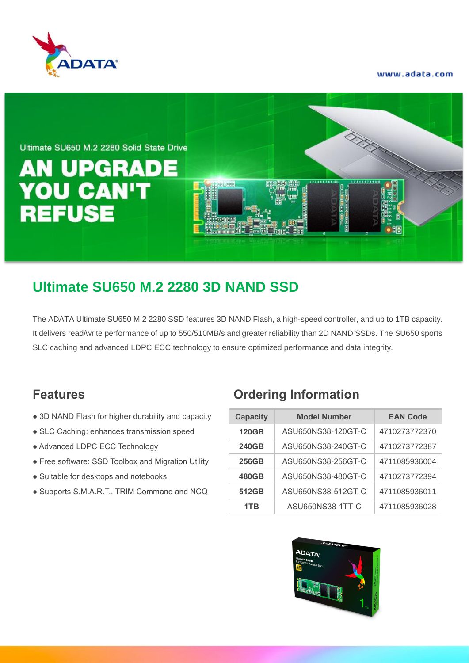

www.adata.com



## **Ultimate SU650 M.2 2280 3D NAND SSD**

The ADATA Ultimate SU650 M.2 2280 SSD features 3D NAND Flash, a high-speed controller, and up to 1TB capacity. It delivers read/write performance of up to 550/510MB/s and greater reliability than 2D NAND SSDs. The SU650 sports SLC caching and advanced LDPC ECC technology to ensure optimized performance and data integrity.

- $\bullet$  3D NAND Flash for higher durability and capacity
- SLC Caching: enhances transmission speed
- $\bullet$  Advanced LDPC ECC Technology
- **Free software: SSD Toolbox and Migration Utility**
- Suitable for desktops and notebooks
- **Supports S.M.A.R.T., TRIM Command and NCQ**

#### **Features Ordering Information**

| <b>Capacity</b> | <b>Model Number</b> | <b>EAN Code</b> |  |  |
|-----------------|---------------------|-----------------|--|--|
| <b>120GB</b>    | ASU650NS38-120GT-C  | 4710273772370   |  |  |
| <b>240GB</b>    | ASU650NS38-240GT-C  | 4710273772387   |  |  |
| <b>256GB</b>    | ASU650NS38-256GT-C  | 4711085936004   |  |  |
| 480GB           | ASU650NS38-480GT-C  | 4710273772394   |  |  |
| 512GB           | ASU650NS38-512GT-C  | 4711085936011   |  |  |
| 1TB             | ASU650NS38-1TT-C    | 4711085936028   |  |  |